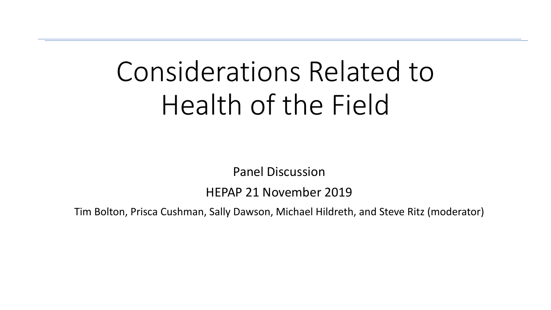# Considerations Related to Health of the Field

Panel Discussion

HEPAP 21 November 2019

Tim Bolton, Prisca Cushman, Sally Dawson, Michael Hildreth, and Steve Ritz (moderator)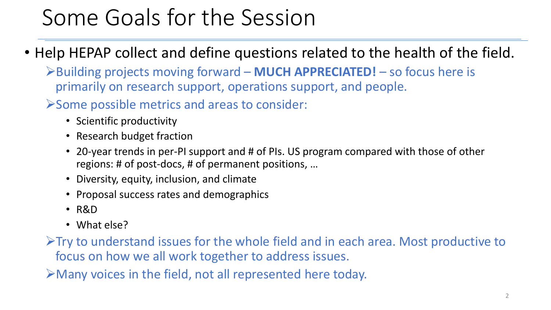### Some Goals for the Session

- Help HEPAP collect and define questions related to the health of the field.
	- ➢Building projects moving forward **MUCH APPRECIATED!**  so focus here is primarily on research support, operations support, and people.
	- ➢Some possible metrics and areas to consider:
		- Scientific productivity
		- Research budget fraction
		- 20-year trends in per-PI support and # of PIs. US program compared with those of other regions: # of post-docs, # of permanent positions, …
		- Diversity, equity, inclusion, and climate
		- Proposal success rates and demographics
		- R&D
		- What else?

➢Try to understand issues for the whole field and in each area. Most productive to focus on how we all work together to address issues.

➢Many voices in the field, not all represented here today.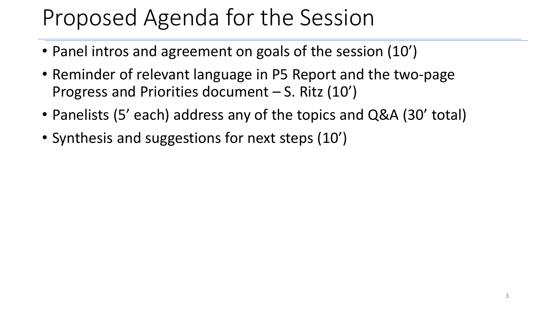### Proposed Agenda for the Session

- Panel intros and agreement on goals of the session (10')
- Reminder of relevant language in P5 Report and the two-page Progress and Priorities document – S. Ritz (10')
- Panelists (5' each) address any of the topics and Q&A (30' total)
- Synthesis and suggestions for next steps (10')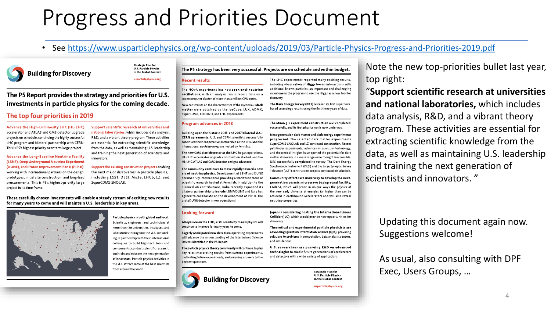### Progress and Priorities Document

### • See <https://www.usparticlephysics.org/wp-content/uploads/2019/03/Particle-Physics-Progress-and-Priorities-2019.pdf>



**Strategic Plan for U.S. Particle Physics** in the Global Context

usparticlephysics.org

The P5 Report provides the strategy and priorities for U.S. investments in particle physics for the coming decade.

#### The top four priorities in 2019

Advance the High-Luminosity LHC (HL-LHC) accelerator and ATLAS and CMS detector upgrade projects on schedule, continuing the highly successful LHC program and bilateral partnership with CERN. This is P5's highest-priority near-term large project.

**Advance the Long-Baseline Neutrino Facility** (LBNF), Deep Underground Neutrino Experiment (DUNE), and Proton Improvement Plan II (PIP-II), working with international partners on the design, prototypes, initial site construction, and long-lead procurements. This is P5's highest-priority large project in its time frame.

Support scientific research at universities and national laboratories, which includes data analysis, R&D, and a vibrant theory program. These activities are essential for extracting scientific knowledge from the data, as well as maintaining U.S. leadership and training the next generation of scientists and innovators.

Support the existing construction projects enabling the next major discoveries in particle physics, including LSST, DESI, Mu2e, LHCb, LZ, and SuperCDMS-SNOLAB.

These carefully chosen investments will enable a steady stream of exciting new results for many years to come and will maintain U.S. leadership in key areas.



Particle physics is both global and local. Scientists, engineers, and technicians at more than 180 universities, institutes, and laboratories throughout the U.S. are working in partnership with their international colleagues to build high-tech tools and components, conduct scientific research, and train and educate the next generation of innovators. Particle physics activities in the U.S. attract some of the best scientists from around the world.

#### The P5 strategy has been very successful. Projects are on schedule and within budget.

#### **Recent results**

The NOvA experiment has now seen anti-neutrino oscillations, with an analysis run in record time on a supercomputer cluster of more than a million CPU cores.

New constraints on the characteristics of the mysterious dark matter were obtained by the IceCube, LUX, ADMX, SuperCDMS, XENON1T, and LHC experiments.

#### **Program advances in 2018**

Building upon the historic 2015 and 2017 bilateral U.S. CERN agreements, U.S. and CERN scientists successfully continued their cooperative partnership at the LHC and the international neutrino program hosted by Fermilab.

The new CMS pixel detector at the LHC began operations, HL LHC accelerator upgrade construction started, and the HL-LHC ATLAS and CMS detector designs advanced.

The community continues to move rapidly toward a new era of neutrino physics. Development of LBNF and DUNE became truly international, providing a worldwide focus of scientific research hosted at Fermilab. In addition to the planned UK contributions. India recently expanded its bilateral partnership to include LBNF/DUNE and Italy has agreed to collaborate on the development of PIP-II. The protoDUNE detector is now operational.

#### **Looking forward**

- All eyes are on the LHC, as its sensitivity to new physics will continue to improve for many years to come.
- Eagerly anticipated new data from operating experiments will advance the understanding of the intertwined Science Drivers identified in the P5 Report.

The particle physics theory community will continue to play key roles interpreting results from current experiments, motivating future experiments, and pursuing answers to the deepest questions.

**Building for Discovery** 

The LHC experiments reported many exciting results. including observation of Higgs boson interactions with additional known particles, an important and challenging milestone in the program to use the Higgs as a new tool for discovery

The Dark Energy Survey (DES) released its first supernovabased cosmology results using the first three years of data.

The Muon g-2 experiment construction was completed successfully, and its first physics run is now underway.

Next-generation dark matter and dark energy experiments progressed. The selected dark matter experiments SuperCDMS-SNOLAB and LZ continued construction. Recent pathfinder experiments, advances in quantum technology, and theoretical insights have opened the potential for dark matter discovery in a mass range once thought inaccessible. DES successfully completed its survey. The Dark Energy Spectroscopic Instrument (DESI) and the Large Synoptic Survey Telescope (LSST) construction projects continued on schedule.

Community efforts are underway to develop the next generation cosmic microwave background facility, CMB S4, which will probe in unique ways the physics of the very early Universe at energies far higher than can be achieved in earthbound accelerators and will also reveal neutrino properties.

Japan is considering hosting the International Linear Collider (ILC), which would provide new opportunities for discovery.

Theoretical and experimental particle physicists are advancing Quantum Information Science (QIS), providing solutions to problems in computation, data analysis, sensors, and simulations.

U.S. researchers are pursuing R&D on advanced technologies to enable future generations of accelerators and detectors with a wide variety of applications.

> **Strategic Plan for U.S. Particle Physics** in the Global Context

usparticlephysics.org

Note the new top-priorities bullet last year, top right:

"**Support scientific research at universities and national laboratories,** which includes data analysis, R&D, and a vibrant theory program. These activities are essential for extracting scientific knowledge from the data, as well as maintaining U.S. leadership and training the next generation of scientists and innovators. "

Updating this document again now. Suggestions welcome!

As usual, also consulting with DPF Exec, Users Groups, …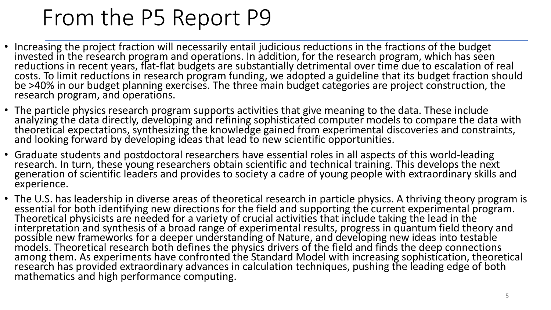### From the P5 Report P9

- Increasing the project fraction will necessarily entail judicious reductions in the fractions of the budget invested in the research program and operations. In addition, for the research program, which has seen reductions in recent years, flat-flat budgets are substantially detrimental over time due to escalation of real costs. To limit reductions in research program funding, we adopted a guideline that its budget fraction should be >40% in our budget planning exercises. The three main budget categories are project construction, the research program, and operations.
- The particle physics research program supports activities that give meaning to the data. These include analyzing the data directly, developing and refining sophisticated computer models to compare the data with theoretical expectations, synthesizing the knowledge gained from experimental discoveries and constraints, and looking forward by developing ideas that lead to new scientific opportunities.
- Graduate students and postdoctoral researchers have essential roles in all aspects of this world-leading research. In turn, these young researchers obtain scientific and technical training. This develops the next generation of scientific leaders and provides to society a cadre of young people with extraordinary skills and experience.
- The U.S. has leadership in diverse areas of theoretical research in particle physics. A thriving theory program is essential for both identifying new directions for the field and supporting the current experimental program. Theoretical physicists are needed for a variety of crucial activities that include taking the lead in the interpretation and synthesis of a broad range of experimental results, progress in quantum field theory and possible new frameworks for a deeper understanding of Nature, and developing new ideas into testable models. Theoretical research both defines the physics drivers of the field and finds the deep connections among them. As experiments have confronted the Standard Model with increasing sophistication, theoretical research has provided extraordinary advances in calculation techniques, pushing the leading edge of both mathematics and high performance computing.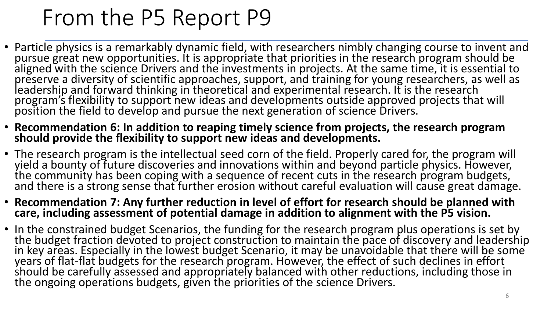## From the P5 Report P9

- Particle physics is a remarkably dynamic field, with researchers nimbly changing course to invent and pursue great new opportunities. It is appropriate that priorities in the research program should be aligned with the science Drivers and the investments in projects. At the same time, it is essential to preserve a diversity of scientific approaches, support, and training for young researchers, as well as leadership and forward thinking in theoretical and experimental research. It is the research program's flexibility to support new ideas and developments outside approved projects that will position the field to develop and pursue the next generation of science Drivers.
- **Recommendation 6: In addition to reaping timely science from projects, the research program should provide the flexibility to support new ideas and developments.**
- The research program is the intellectual seed corn of the field. Properly cared for, the program will yield a bounty of future discoveries and innovations within and beyond particle physics. However, the community has been coping with a sequence of recent cuts in the research program budgets, and there is a strong sense that further erosion without careful evaluation will cause great damage.
- **Recommendation 7: Any further reduction in level of effort for research should be planned with care, including assessment of potential damage in addition to alignment with the P5 vision.**
- In the constrained budget Scenarios, the funding for the research program plus operations is set by the budget fraction devoted to project construction to maintain the pace of discovery and leadership in key areas. Especially in the lowest budget Scenario, it may be unavoidable that there will be some years of flat-flat budgets for the research program. However, the effect of such declines in effort should be carefully assessed and appropriately balanced with other reductions, including those in the ongoing operations budgets, given the priorities of the science Drivers.